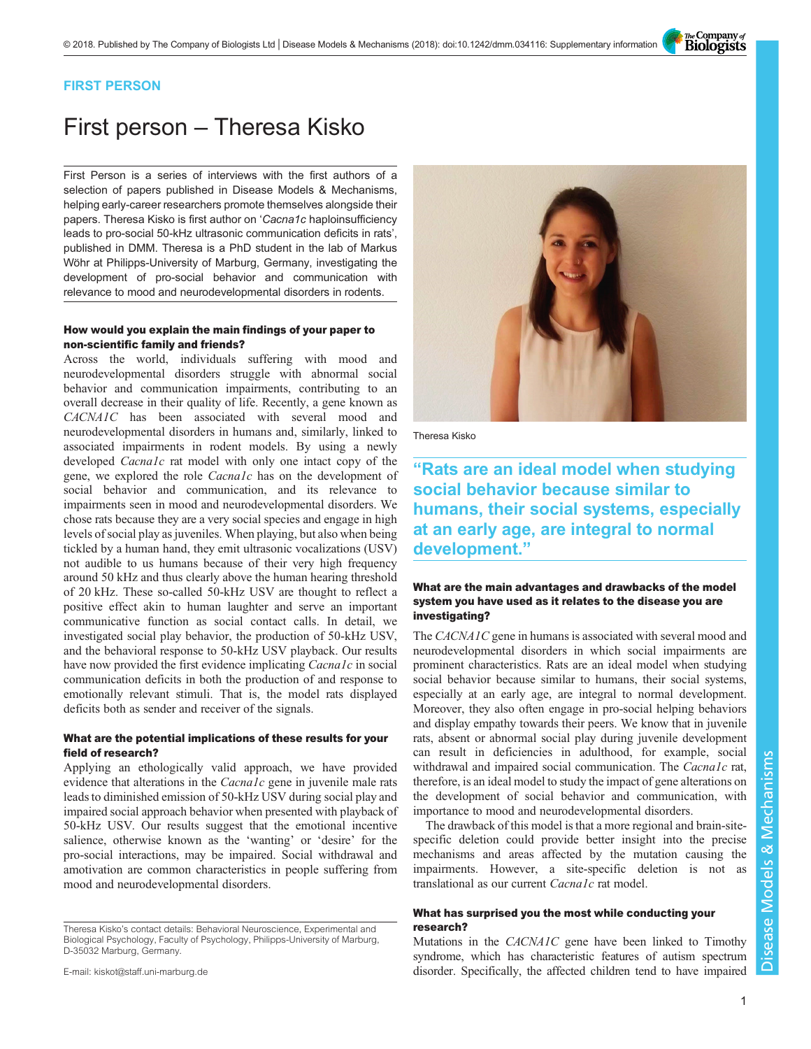The Company of<br>**Biologists** 

## FIRST PERSON

# First person – Theresa Kisko

First Person is a series of interviews with the first authors of a selection of papers published in Disease Models & Mechanisms, helping early-career researchers promote themselves alongside their papers. Theresa Kisko is first author on 'Cacna1c [haploinsufficiency](#page-1-0) [leads to pro-social 50-kHz ultrasonic communication deficits in rats](#page-1-0)', published in DMM. Theresa is a PhD student in the lab of Markus Wöhr at Philipps-University of Marburg, Germany, investigating the development of pro-social behavior and communication with relevance to mood and neurodevelopmental disorders in rodents.

## How would you explain the main findings of your paper to non-scientific family and friends?

Across the world, individuals suffering with mood and neurodevelopmental disorders struggle with abnormal social behavior and communication impairments, contributing to an overall decrease in their quality of life. Recently, a gene known as CACNA1C has been associated with several mood and neurodevelopmental disorders in humans and, similarly, linked to associated impairments in rodent models. By using a newly developed *Cacna1c* rat model with only one intact copy of the gene, we explored the role Cacna1c has on the development of social behavior and communication, and its relevance to impairments seen in mood and neurodevelopmental disorders. We chose rats because they are a very social species and engage in high levels of social play as juveniles. When playing, but also when being tickled by a human hand, they emit ultrasonic vocalizations (USV) not audible to us humans because of their very high frequency around 50 kHz and thus clearly above the human hearing threshold of 20 kHz. These so-called 50-kHz USV are thought to reflect a positive effect akin to human laughter and serve an important communicative function as social contact calls. In detail, we investigated social play behavior, the production of 50-kHz USV, and the behavioral response to 50-kHz USV playback. Our results have now provided the first evidence implicating *Cacna1c* in social communication deficits in both the production of and response to emotionally relevant stimuli. That is, the model rats displayed deficits both as sender and receiver of the signals.

## What are the potential implications of these results for your field of research?

Applying an ethologically valid approach, we have provided evidence that alterations in the *Cacna1c* gene in juvenile male rats leads to diminished emission of 50-kHz USV during social play and impaired social approach behavior when presented with playback of 50-kHz USV. Our results suggest that the emotional incentive salience, otherwise known as the 'wanting' or 'desire' for the pro-social interactions, may be impaired. Social withdrawal and amotivation are common characteristics in people suffering from mood and neurodevelopmental disorders.

Theresa Kisko's contact details: Behavioral Neuroscience, Experimental and Biological Psychology, Faculty of Psychology, Philipps-University of Marburg, D-35032 Marburg, Germany.

E-mail: [kiskot@staff.uni-marburg.de](mailto:kiskot@staff.uni-marburg.de)



Theresa Kisko

"Rats are an ideal model when studying social behavior because similar to humans, their social systems, especially at an early age, are integral to normal development."

## What are the main advantages and drawbacks of the model system you have used as it relates to the disease you are investigating?

The *CACNA1C* gene in humans is associated with several mood and neurodevelopmental disorders in which social impairments are prominent characteristics. Rats are an ideal model when studying social behavior because similar to humans, their social systems, especially at an early age, are integral to normal development. Moreover, they also often engage in pro-social helping behaviors and display empathy towards their peers. We know that in juvenile rats, absent or abnormal social play during juvenile development can result in deficiencies in adulthood, for example, social withdrawal and impaired social communication. The *Cacna1c* rat, therefore, is an ideal model to study the impact of gene alterations on the development of social behavior and communication, with importance to mood and neurodevelopmental disorders.

The drawback of this model is that a more regional and brain-sitespecific deletion could provide better insight into the precise mechanisms and areas affected by the mutation causing the impairments. However, a site-specific deletion is not as translational as our current *Cacna1c* rat model.

## What has surprised you the most while conducting your research?

Mutations in the CACNA1C gene have been linked to Timothy syndrome, which has characteristic features of autism spectrum disorder. Specifically, the affected children tend to have impaired